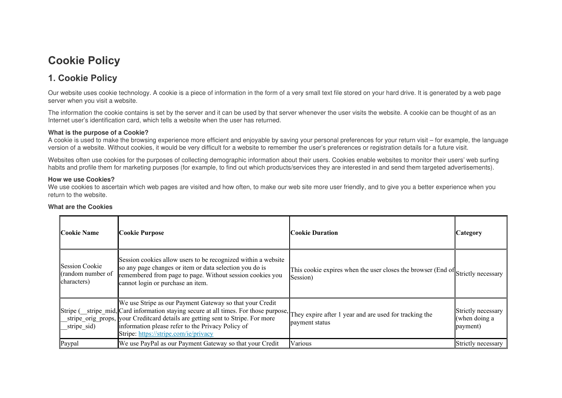# **Cookie Policy**

# **1. Cookie Policy**

Our website uses cookie technology. A cookie is a piece of information in the form of a very small text file stored on your hard drive. It is generated by a web page server when you visit a website.

The information the cookie contains is set by the server and it can be used by that server whenever the user visits the website. A cookie can be thought of as an Internet user's identification card, which tells a website when the user has returned.

### **What is the purpose of a Cookie?**

A cookie is used to make the browsing experience more efficient and enjoyable by saving your personal preferences for your return visit – for example, the language version of a website. Without cookies, it would be very difficult for a website to remember the user's preferences or registration details for a future visit.

Websites often use cookies for the purposes of collecting demographic information about their users. Cookies enable websites to monitor their users' web surfing habits and profile them for marketing purposes (for example, to find out which products/services they are interested in and send them targeted advertisements).

#### **How we use Cookies?**

We use cookies to ascertain which web pages are visited and how often, to make our web site more user friendly, and to give you a better experience when you return to the website.

| <b>Cookie Name</b>                                 | Cookie Purpose                                                                                                                                                                                                                                                                                                                                                                           | <b>Cookie Duration</b>                                                                      | Category                                        |
|----------------------------------------------------|------------------------------------------------------------------------------------------------------------------------------------------------------------------------------------------------------------------------------------------------------------------------------------------------------------------------------------------------------------------------------------------|---------------------------------------------------------------------------------------------|-------------------------------------------------|
| Session Cookie<br>(random number of<br>characters) | Session cookies allow users to be recognized within a website<br>so any page changes or item or data selection you do is<br>remembered from page to page. Without session cookies you<br>cannot login or purchase an item.                                                                                                                                                               | This cookie expires when the user closes the browser (End of Strictly necessary<br>Session) |                                                 |
| stripe_sid)                                        | We use Stripe as our Payment Gateway so that your Credit<br>Stripe (stripe_mid, Card information staying secure at all times. For those purpose, They expire after 1 year and are used for tracking the<br>stripe_orig_props, vour Creditcard details are getting sent to Stripe. For more<br>information please refer to the Privacy Policy of<br>Stripe: https://stripe.com/ie/privacy | payment status                                                                              | Strictly necessary<br>(when doing a<br>payment) |
| Paypal                                             | We use PayPal as our Payment Gateway so that your Credit                                                                                                                                                                                                                                                                                                                                 | Various                                                                                     | Strictly necessary                              |

### **What are the Cookies**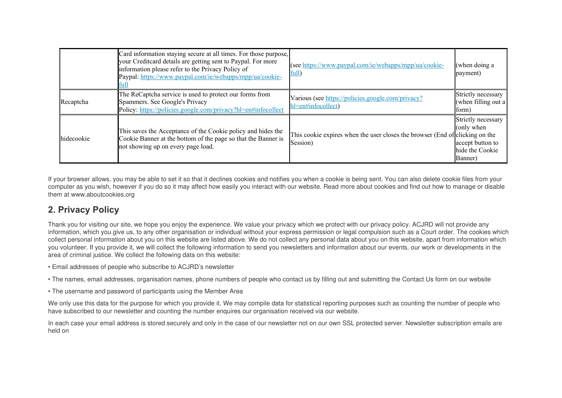|            | Card information staying secure at all times. For those purpose,<br>your Creditcard details are getting sent to Paypal. For more<br>information please refer to the Privacy Policy of<br>Paypal: https://www.paypal.com/ie/webapps/mpp/ua/cookie-<br>lfull | (see https://www.paypal.com/ie/webapps/mpp/ua/cookie-<br>ful                             | (when doing a<br>payment)                                                          |
|------------|------------------------------------------------------------------------------------------------------------------------------------------------------------------------------------------------------------------------------------------------------------|------------------------------------------------------------------------------------------|------------------------------------------------------------------------------------|
| Recaptcha  | The ReCaptcha service is used to protect our forms from<br>Spammers. See Google's Privacy<br>Policy: https://policies.google.com/privacy?hl=en#infocollect                                                                                                 | Various (see https://policies.google.com/privacy?<br>hl=en#infocollect)                  | Strictly necessary<br>(when filling out a<br>form)                                 |
| hidecookie | This saves the Acceptance of the Cookie policy and hides the<br>Cookie Banner at the bottom of the page so that the Banner is<br>not showing up on every page load.                                                                                        | This cookie expires when the user closes the browser (End of clicking on the<br>Session) | Strictly necessary<br>(only when<br>accept button to<br>hide the Cookie<br>Banner) |

If your browser allows, you may be able to set it so that it declines cookies and notifies you when a cookie is being sent. You can also delete cookie files from your computer as you wish, however if you do so it may affect how easily you interact with our website. Read more about cookies and find out how to manage or disable them at www.aboutcookies.org

# **2. Privacy Policy**

Thank you for visiting our site, we hope you enjoy the experience. We value your privacy which we protect with our privacy policy. ACJRD will not provide any information, which you give us, to any other organisation or individual without your express permission or legal compulsion such as a Court order. The cookies which collect personal information about you on this website are listed above. We do not collect any personal data about you on this website, apart from information which you volunteer. If you provide it, we will collect the following information to send you newsletters and information about our events, our work or developments in the area of criminal justice. We collect the following data on this website:

- Email addresses of people who subscribe to ACJRD's newsletter
- The names, email addresses, organisation names, phone numbers of people who contact us by filling out and submitting the Contact Us form on our website
- The username and password of participants using the Member Area

We only use this data for the purpose for which you provide it. We may compile data for statistical reporting purposes such as counting the number of people who have subscribed to our newsletter and counting the number enquires our organisation received via our website.

In each case your email address is stored securely and only in the case of our newsletter not on our own SSL protected server. Newsletter subscription emails are held on